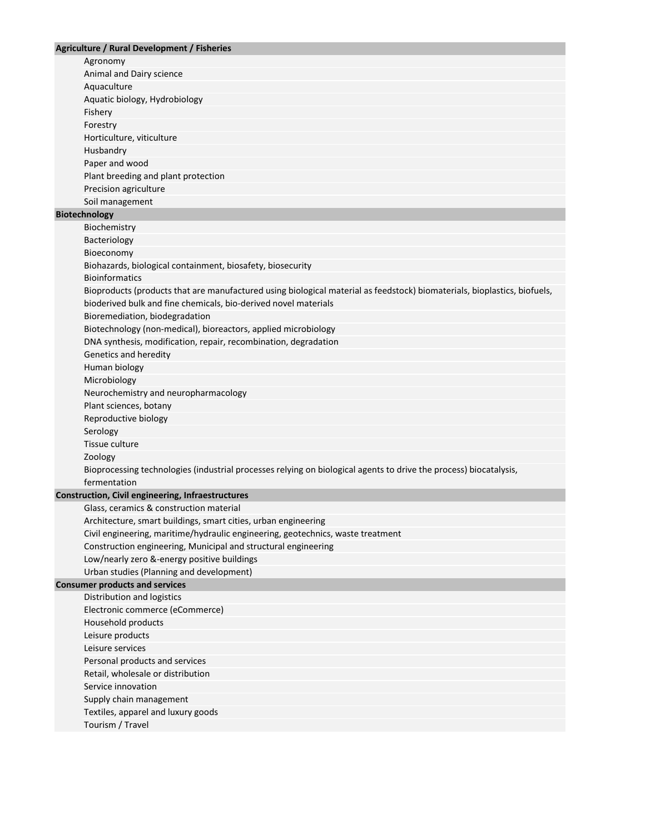| <b>Agriculture / Rural Development / Fisheries</b>                                                                       |
|--------------------------------------------------------------------------------------------------------------------------|
| Agronomy                                                                                                                 |
| Animal and Dairy science                                                                                                 |
| Aquaculture                                                                                                              |
| Aquatic biology, Hydrobiology                                                                                            |
| Fishery                                                                                                                  |
| Forestry                                                                                                                 |
| Horticulture, viticulture                                                                                                |
| Husbandry                                                                                                                |
| Paper and wood                                                                                                           |
| Plant breeding and plant protection                                                                                      |
| Precision agriculture                                                                                                    |
| Soil management                                                                                                          |
| <b>Biotechnology</b>                                                                                                     |
| Biochemistry                                                                                                             |
| Bacteriology                                                                                                             |
| Bioeconomy                                                                                                               |
| Biohazards, biological containment, biosafety, biosecurity                                                               |
| <b>Bioinformatics</b>                                                                                                    |
| Bioproducts (products that are manufactured using biological material as feedstock) biomaterials, bioplastics, biofuels, |
| bioderived bulk and fine chemicals, bio-derived novel materials                                                          |
| Bioremediation, biodegradation                                                                                           |
| Biotechnology (non-medical), bioreactors, applied microbiology                                                           |
| DNA synthesis, modification, repair, recombination, degradation                                                          |
| Genetics and heredity                                                                                                    |
| Human biology                                                                                                            |
| Microbiology                                                                                                             |
| Neurochemistry and neuropharmacology                                                                                     |
| Plant sciences, botany                                                                                                   |
| Reproductive biology                                                                                                     |
| Serology                                                                                                                 |
| Tissue culture                                                                                                           |
| Zoology                                                                                                                  |
| Bioprocessing technologies (industrial processes relying on biological agents to drive the process) biocatalysis,        |
| fermentation                                                                                                             |
| <b>Construction, Civil engineering, Infraestructures</b>                                                                 |
| Glass, ceramics & construction material                                                                                  |
| Architecture, smart buildings, smart cities, urban engineering                                                           |
| Civil engineering, maritime/hydraulic engineering, geotechnics, waste treatment                                          |
| Construction engineering, Municipal and structural engineering                                                           |
| Low/nearly zero &-energy positive buildings                                                                              |
| Urban studies (Planning and development)                                                                                 |
| <b>Consumer products and services</b>                                                                                    |
| Distribution and logistics                                                                                               |
| Electronic commerce (eCommerce)                                                                                          |
| Household products                                                                                                       |
| Leisure products                                                                                                         |
| Leisure services                                                                                                         |
| Personal products and services                                                                                           |
| Retail, wholesale or distribution                                                                                        |
| Service innovation                                                                                                       |
| Supply chain management                                                                                                  |
| Textiles, apparel and luxury goods                                                                                       |
| Tourism / Travel                                                                                                         |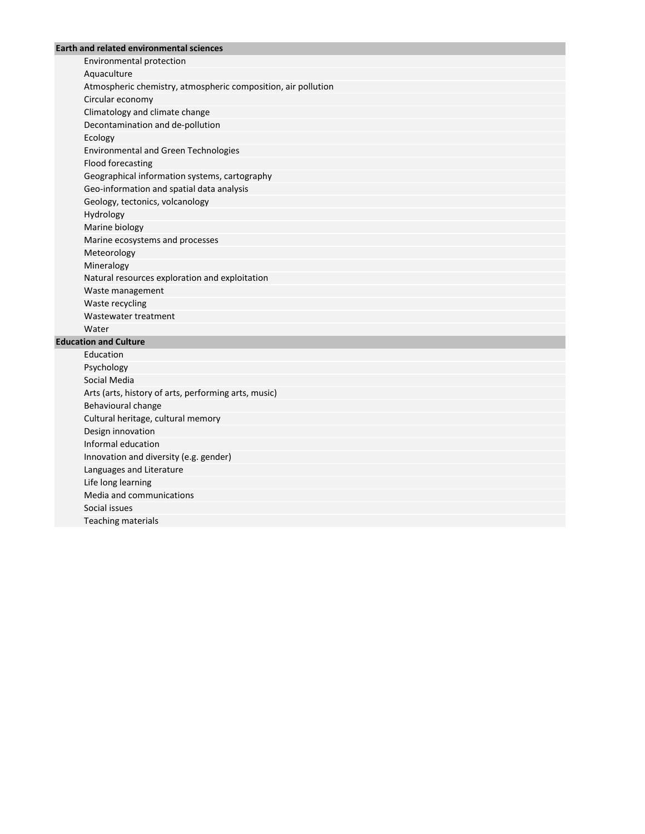## **Earth and related environmental sciences**

Environmental protection Aquaculture Atmospheric chemistry, atmospheric composition, air pollution Circular economy Climatology and climate change Decontamination and de-pollution Ecology Environmental and Green Technologies Flood forecasting Geographical information systems, cartography Geo-information and spatial data analysis Geology, tectonics, volcanology Hydrology Marine biology Marine ecosystems and processes Meteorology Mineralogy Natural resources exploration and exploitation Waste management Waste recycling Wastewater treatment Water

## **Education and Culture**

Education Psychology Social Media Arts (arts, history of arts, performing arts, music) Behavioural change Cultural heritage, cultural memory Design innovation Informal education Innovation and diversity (e.g. gender) Languages and Literature Life long learning Media and communications Social issues Teaching materials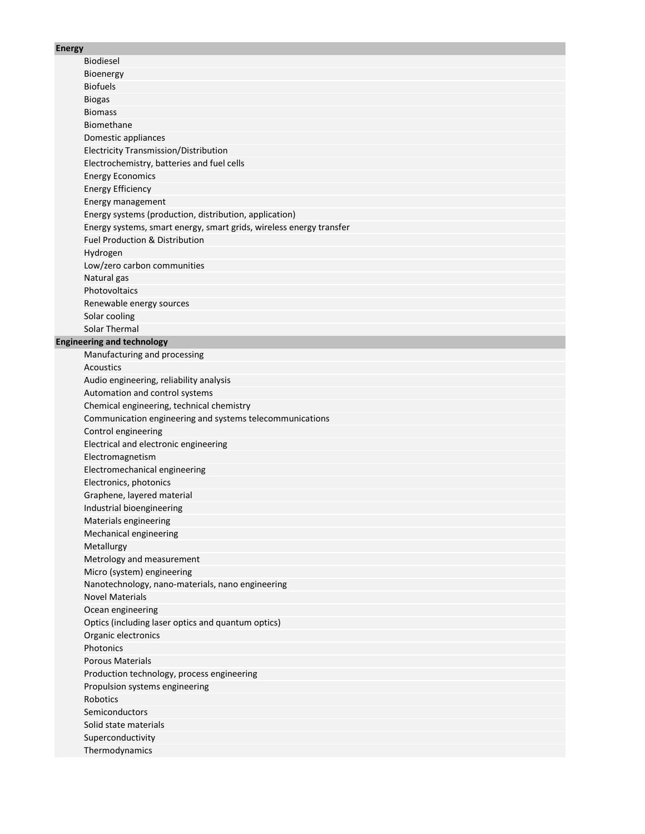### **Energ**

| Energy |                                                                     |
|--------|---------------------------------------------------------------------|
|        | <b>Biodiesel</b>                                                    |
|        | Bioenergy                                                           |
|        | <b>Biofuels</b>                                                     |
|        | <b>Biogas</b>                                                       |
|        | <b>Biomass</b>                                                      |
|        | Biomethane                                                          |
|        | Domestic appliances                                                 |
|        | <b>Electricity Transmission/Distribution</b>                        |
|        | Electrochemistry, batteries and fuel cells                          |
|        | <b>Energy Economics</b>                                             |
|        | <b>Energy Efficiency</b>                                            |
|        | Energy management                                                   |
|        | Energy systems (production, distribution, application)              |
|        | Energy systems, smart energy, smart grids, wireless energy transfer |
|        | <b>Fuel Production &amp; Distribution</b>                           |
|        | Hydrogen                                                            |
|        | Low/zero carbon communities                                         |
|        | Natural gas                                                         |
|        | Photovoltaics                                                       |
|        | Renewable energy sources                                            |
|        | Solar cooling                                                       |
|        | <b>Solar Thermal</b>                                                |
|        | <b>Engineering and technology</b>                                   |
|        | Manufacturing and processing                                        |
|        | Acoustics                                                           |
|        | Audio engineering, reliability analysis                             |
|        | Automation and control systems                                      |
|        | Chemical engineering, technical chemistry                           |
|        | Communication engineering and systems telecommunications            |
|        | Control engineering                                                 |
|        | Electrical and electronic engineering                               |
|        | Electromagnetism                                                    |
|        | Electromechanical engineering                                       |
|        | Electronics, photonics                                              |
|        | Graphene, layered material                                          |
|        | Industrial bioengineering                                           |
|        | Materials engineering                                               |
|        | Mechanical engineering                                              |
|        | Metallurgy                                                          |
|        | Metrology and measurement                                           |
|        | Micro (system) engineering                                          |
|        | Nanotechnology, nano-materials, nano engineering                    |
|        | <b>Novel Materials</b>                                              |
|        | Ocean engineering                                                   |
|        | Optics (including laser optics and quantum optics)                  |
|        | Organic electronics                                                 |
|        | Photonics                                                           |
|        | <b>Porous Materials</b>                                             |
|        | Production technology, process engineering                          |
|        | Propulsion systems engineering                                      |
|        | Robotics                                                            |
|        | Semiconductors                                                      |
|        | Solid state materials                                               |
|        | Superconductivity                                                   |
|        |                                                                     |

Thermodynamics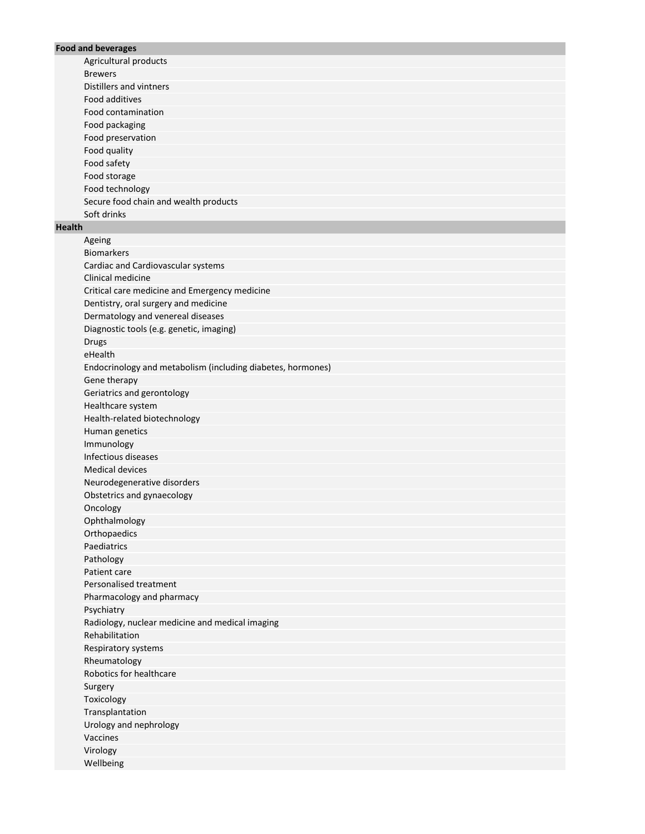# **Food and beverages**

Agricultural products Brewers Distillers and vintners Food additives Food contamination Food packaging Food preservation Food quality Food safety Food storage Food technology Secure food chain and wealth products Soft drinks

# **Health**

Ageing Biomarkers Cardiac and Cardiovascular systems Clinical medicine Critical care medicine and Emergency medicine Dentistry, oral surgery and medicine Dermatology and venereal diseases Diagnostic tools (e.g. genetic, imaging) Drugs eHealth Endocrinology and metabolism (including diabetes, hormones) Gene therapy Geriatrics and gerontology Healthcare system Health-related biotechnology Human genetics Immunology Infectious diseases Medical devices Neurodegenerative disorders Obstetrics and gynaecology Oncology Ophthalmology **Orthopaedics** Paediatrics Pathology Patient care Personalised treatment Pharmacology and pharmacy Psychiatry Radiology, nuclear medicine and medical imaging Rehabilitation Respiratory systems Rheumatology Robotics for healthcare Surgery Toxicology Transplantation Urology and nephrology Vaccines Virology Wellbeing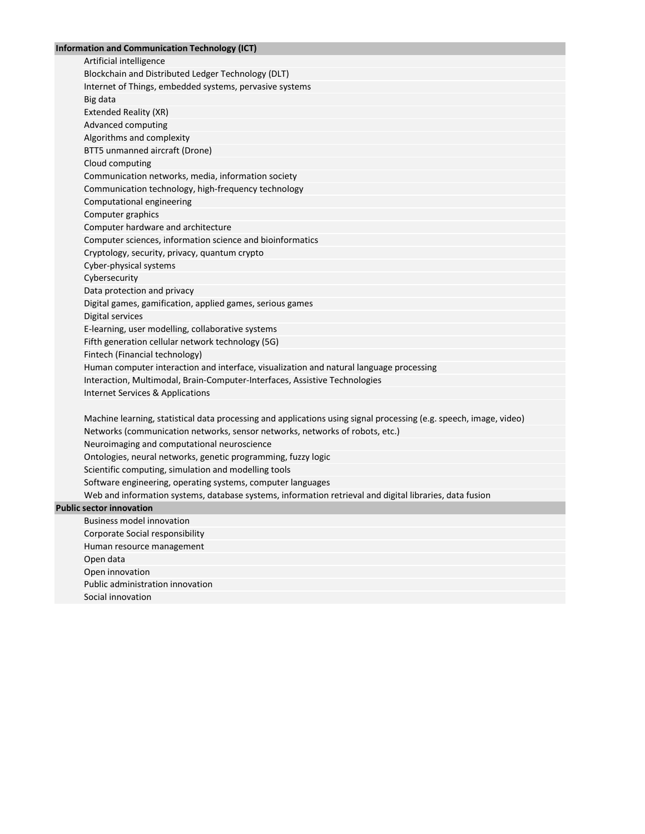## **Information and Communication Technology (ICT)**

Artificial intelligence Blockchain and Distributed Ledger Technology (DLT) Internet of Things, embedded systems, pervasive systems Big data Extended Reality (XR) Advanced computing Algorithms and complexity BTT5 unmanned aircraft (Drone) Cloud computing Communication networks, media, information society Communication technology, high-frequency technology Computational engineering Computer graphics Computer hardware and architecture Computer sciences, information science and bioinformatics Cryptology, security, privacy, quantum crypto Cyber-physical systems Cybersecurity Data protection and privacy Digital games, gamification, applied games, serious games Digital services E-learning, user modelling, collaborative systems Fifth generation cellular network technology (5G) Fintech (Financial technology) Human computer interaction and interface, visualization and natural language processing Interaction, Multimodal, Brain-Computer-Interfaces, Assistive Technologies Internet Services & Applications

Machine learning, statistical data processing and applications using signal processing (e.g. speech, image, video) Networks (communication networks, sensor networks, networks of robots, etc.) Neuroimaging and computational neuroscience Ontologies, neural networks, genetic programming, fuzzy logic Scientific computing, simulation and modelling tools Software engineering, operating systems, computer languages Web and information systems, database systems, information retrieval and digital libraries, data fusion

### **Public sector innovation**

Business model innovation Corporate Social responsibility Human resource management Open data Open innovation Public administration innovation Social innovation